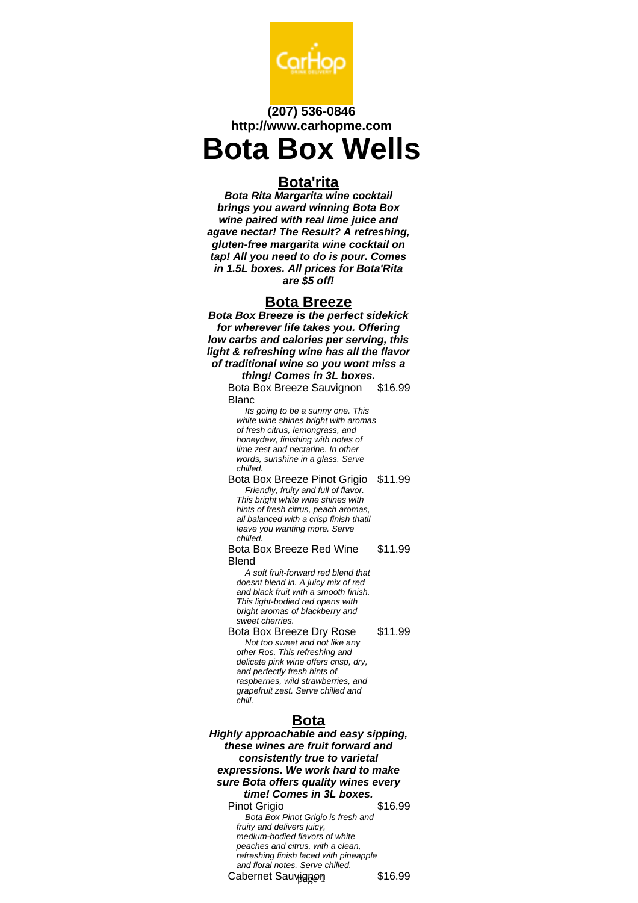

## **(207) 536-0846 http://www.carhopme.com**

# **Bota Box Wells**

#### **Bota'rita**

**Bota Rita Margarita wine cocktail brings you award winning Bota Box wine paired with real lime juice and agave nectar! The Result? A refreshing, gluten-free margarita wine cocktail on tap! All you need to do is pour. Comes in 1.5L boxes. All prices for Bota'Rita are \$5 off!**

#### **Bota Breeze**

**Bota Box Breeze is the perfect sidekick for wherever life takes you. Offering low carbs and calories per serving, this light & refreshing wine has all the flavor of traditional wine so you wont miss a**

#### **thing! Comes in 3L boxes.**

Bota Box Breeze Sauvignon Blanc \$16.99

Its going to be a sunny one. This white wine shines bright with aromas of fresh citrus, lemongrass, and honeydew, finishing with notes of lime zest and nectarine. In other words, sunshine in a glass. Serve chilled.

Bota Box Breeze Pinot Grigio \$11.99 Friendly, fruity and full of flavor. This bright white wine shines with hints of fresh citrus, peach aromas, all balanced with a crisp finish thatll leave you wanting more. Serve chilled.

Bota Box Breeze Red Wine Blend \$11.99

A soft fruit-forward red blend that doesnt blend in. A juicy mix of red and black fruit with a smooth finish. This light-bodied red opens with bright aromas of blackberry and sweet cherries.

Bota Box Breeze Dry Rose \$11.99 Not too sweet and not like any other Ros. This refreshing and delicate pink wine offers crisp, dry, and perfectly fresh hints of raspberries, wild strawberries, and grapefruit zest. Serve chilled and chill.

### **Bota**

**Highly approachable and easy sipping, these wines are fruit forward and consistently true to varietal expressions. We work hard to make sure Bota offers quality wines every time! Comes in 3L boxes.** Pinot Grigio 616.99 Bota Box Pinot Grigio is fresh and fruity and delivers juicy, medium-bodied flavors of white peaches and citrus, with a clean, refreshing finish laced with pineapple

and floral notes. Serve chilled. Cabernet Sauvignon \$16.99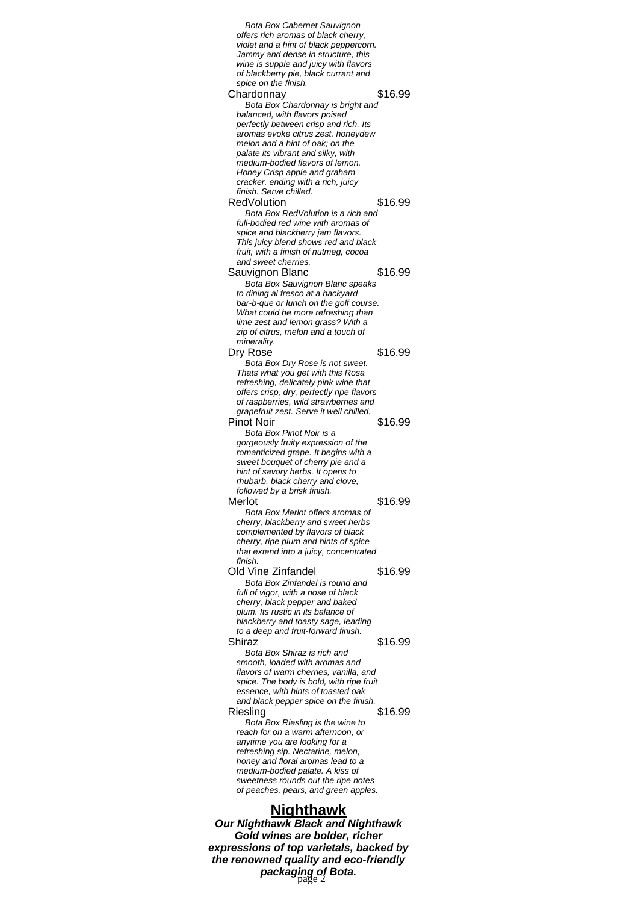Bota Box Cabernet Sauvignon offers rich aromas of black cherry, violet and a hint of black peppercorn. Jammy and dense in structure, this wine is supple and juicy with flavors of blackberry pie, black currant and spice on the finish. Chardonnay \$16.99 Bota Box Chardonnay is bright and balanced, with flavors poised perfectly between crisp and rich. Its aromas evoke citrus zest, honeydew melon and a hint of oak; on the palate its vibrant and silky, with medium-bodied flavors of lemon, Honey Crisp apple and graham cracker, ending with a rich, juicy finish. Serve chilled. RedVolution \$16.99 Bota Box RedVolution is a rich and full-bodied red wine with aromas of spice and blackberry jam flavors. This juicy blend shows red and black fruit, with a finish of nutmeg, cocoa and sweet cherries. Sauvignon Blanc 616.99 Bota Box Sauvignon Blanc speaks to dining al fresco at a backyard bar-b-que or lunch on the golf course. What could be more refreshing than lime zest and lemon grass? With a zip of citrus, melon and a touch of minerality. Dry Rose \$16.99 Bota Box Dry Rose is not sweet. Thats what you get with this Rosa refreshing, delicately pink wine that offers crisp, dry, perfectly ripe flavors of raspberries, wild strawberries and grapefruit zest. Serve it well chilled. Pinot Noir \$16.99 Bota Box Pinot Noir is a gorgeously fruity expression of the romanticized grape. It begins with a sweet bouquet of cherry pie and a hint of savory herbs. It opens to rhubarb, black cherry and clove, followed by a brisk finish. Merlot \$16.99 Bota Box Merlot offers aromas of cherry, blackberry and sweet herbs complemented by flavors of black cherry, ripe plum and hints of spice that extend into a juicy, concentrated finish. Old Vine Zinfandel \$16.99 Bota Box Zinfandel is round and full of vigor, with a nose of black cherry, black pepper and baked plum. Its rustic in its balance of blackberry and toasty sage, leading to a deep and fruit-forward finish. Shiraz \$16.99 Bota Box Shiraz is rich and smooth, loaded with aromas and flavors of warm cherries, vanilla, and spice. The body is bold, with ripe fruit essence, with hints of toasted oak and black pepper spice on the finish. Riesling \$16.99 Bota Box Riesling is the wine to reach for on a warm afternoon, or anytime you are looking for a refreshing sip. Nectarine, melon, honey and floral aromas lead to a medium-bodied palate. A kiss of sweetness rounds out the ripe notes of peaches, pears, and green apples. **Nighthawk**

**Our Nighthawk Black and Nighthawk Gold wines are bolder, richer expressions of top varietals, backed by the renowned quality and eco-friendly packaging of Bota.** page 2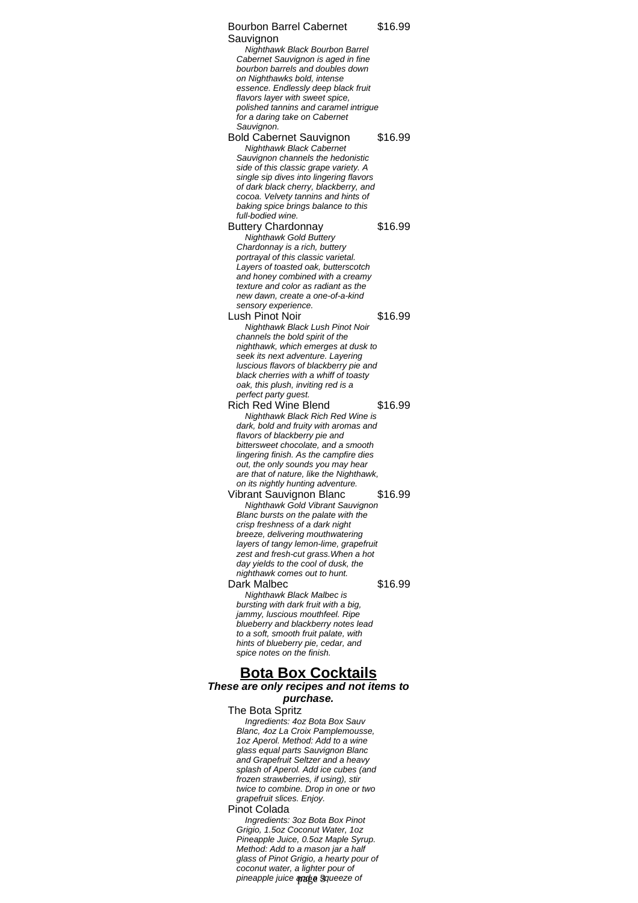Bourbon Barrel Cabernet Sauvignon \$16.99 Nighthawk Black Bourbon Barrel Cabernet Sauvignon is aged in fine bourbon barrels and doubles down on Nighthawks bold, intense essence. Endlessly deep black fruit flavors layer with sweet spice, polished tannins and caramel intrigue for a daring take on Cabernet Sauvignon. Bold Cabernet Sauvignon \$16.99 Nighthawk Black Cabernet Sauvignon channels the hedonistic side of this classic grape variety. A single sip dives into lingering flavors of dark black cherry, blackberry, and cocoa. Velvety tannins and hints of baking spice brings balance to this full-bodied wine. Buttery Chardonnay \$16.99 Nighthawk Gold Buttery Chardonnay is a rich, buttery portrayal of this classic varietal. Layers of toasted oak, butterscotch and honey combined with a creamy texture and color as radiant as the new dawn, create a one-of-a-kind sensory experience. Lush Pinot Noir **\$16.99** Nighthawk Black Lush Pinot Noir channels the bold spirit of the nighthawk, which emerges at dusk to seek its next adventure. Layering luscious flavors of blackberry pie and black cherries with a whiff of toasty oak, this plush, inviting red is a perfect party guest. Rich Red Wine Blend \$16.99 Nighthawk Black Rich Red Wine is dark, bold and fruity with aromas and flavors of blackberry pie and bittersweet chocolate, and a smooth lingering finish. As the campfire dies out, the only sounds you may hear are that of nature, like the Nighthawk, on its nightly hunting adventure. Vibrant Sauvignon Blanc \$16.99 Nighthawk Gold Vibrant Sauvignon Blanc bursts on the palate with the crisp freshness of a dark night breeze, delivering mouthwatering layers of tangy lemon-lime, grapefruit zest and fresh-cut grass.When a hot day yields to the cool of dusk, the nighthawk comes out to hunt. Dark Malbec \$16.99 Nighthawk Black Malbec is bursting with dark fruit with a big, jammy, luscious mouthfeel. Ripe blueberry and blackberry notes lead to a soft, smooth fruit palate, with hints of blueberry pie, cedar, and spice notes on the finish. **Bota Box Cocktails These are only recipes and not items to purchase.** The Bota Spritz

> Ingredients: 4oz Bota Box Sauv Blanc, 4oz La Croix Pamplemousse, 1oz Aperol. Method: Add to a wine glass equal parts Sauvignon Blanc and Grapefruit Seltzer and a heavy splash of Aperol. Add ice cubes (and frozen strawberries, if using), stir twice to combine. Drop in one or two grapefruit slices. Enjoy.

#### Pinot Colada

Ingredients: 3oz Bota Box Pinot Grigio, 1.5oz Coconut Water, 1oz Pineapple Juice, 0.5oz Maple Syrup. Method: Add to a mason jar a half glass of Pinot Grigio, a hearty pour of coconut water, a lighter pour of pineapple juice and a squeeze of